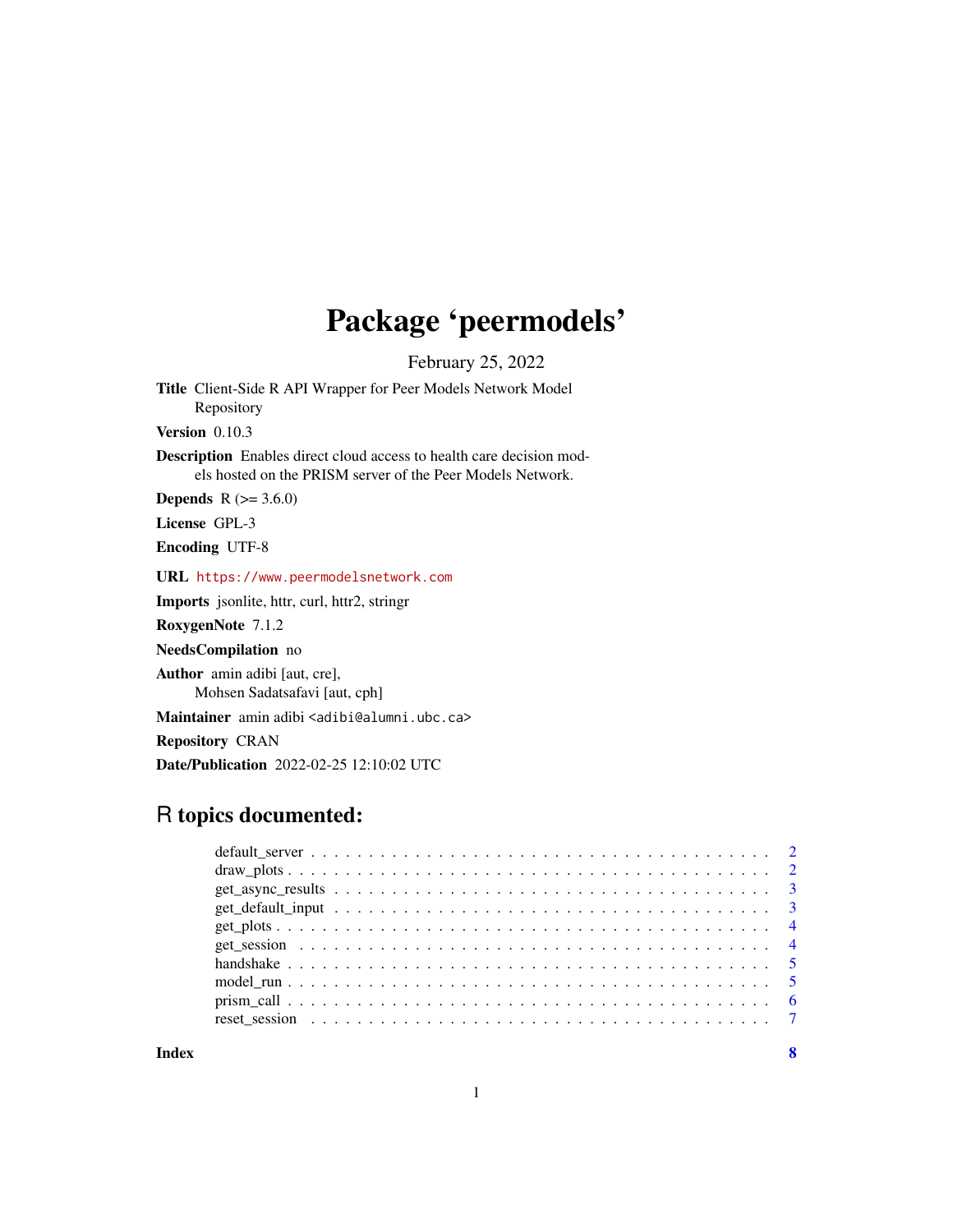## Package 'peermodels'

February 25, 2022

Title Client-Side R API Wrapper for Peer Models Network Model Repository

Version 0.10.3

Description Enables direct cloud access to health care decision models hosted on the PRISM server of the Peer Models Network.

**Depends** R  $(>= 3.6.0)$ 

License GPL-3

Encoding UTF-8

URL <https://www.peermodelsnetwork.com>

Imports jsonlite, httr, curl, httr2, stringr

RoxygenNote 7.1.2

NeedsCompilation no

Author amin adibi [aut, cre], Mohsen Sadatsafavi [aut, cph]

Maintainer amin adibi <adibi@alumni.ubc.ca>

Repository CRAN

Date/Publication 2022-02-25 12:10:02 UTC

## R topics documented:

**Index** [8](#page-7-0) **8**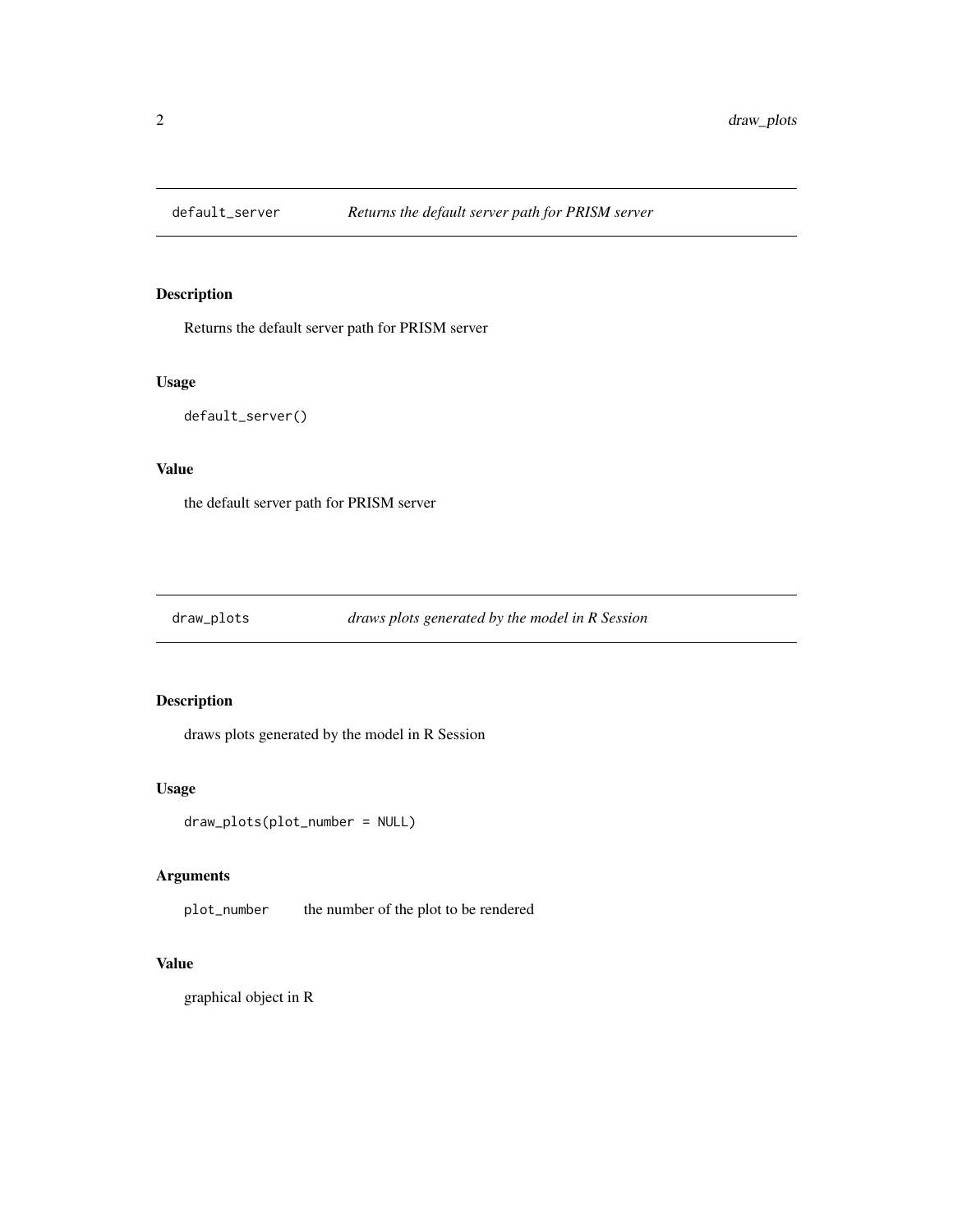<span id="page-1-0"></span>

## Description

Returns the default server path for PRISM server

#### Usage

default\_server()

#### Value

the default server path for PRISM server

draw\_plots *draws plots generated by the model in R Session*

## Description

draws plots generated by the model in R Session

#### Usage

```
draw_plots(plot_number = NULL)
```
#### Arguments

plot\_number the number of the plot to be rendered

## Value

graphical object in R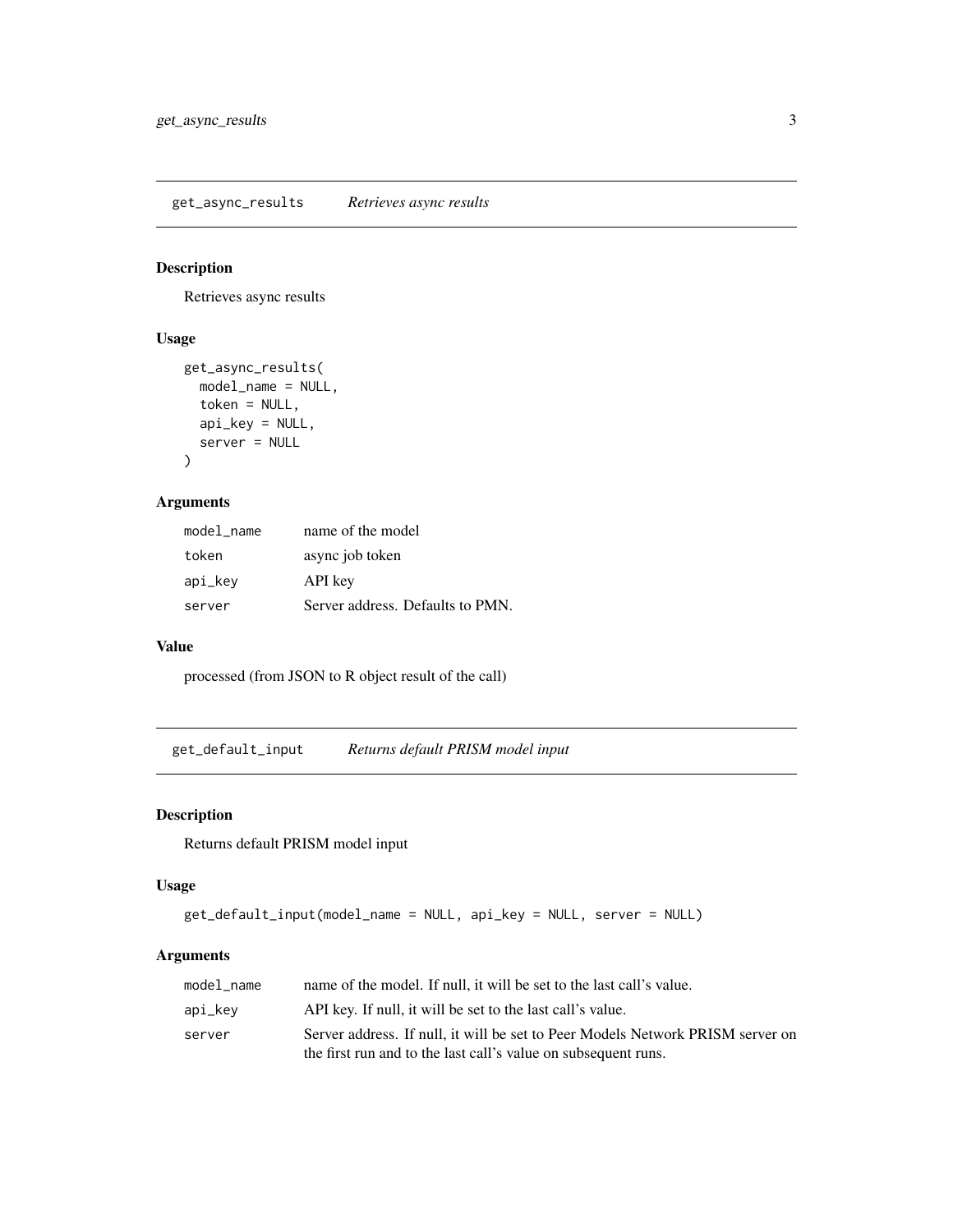## <span id="page-2-0"></span>Description

Retrieves async results

## Usage

```
get_async_results(
 model_name = NULL,
 token = NULL,
 api_key = NULL,
  server = NULL
)
```
## Arguments

| model_name | name of the model                |
|------------|----------------------------------|
| token      | async job token                  |
| api_key    | API key                          |
| server     | Server address. Defaults to PMN. |

#### Value

processed (from JSON to R object result of the call)

get\_default\_input *Returns default PRISM model input*

## Description

Returns default PRISM model input

#### Usage

```
get_default_input(model_name = NULL, api_key = NULL, server = NULL)
```
#### Arguments

| model name | name of the model. If null, it will be set to the last call's value.           |
|------------|--------------------------------------------------------------------------------|
| api_kev    | API key. If null, it will be set to the last call's value.                     |
| server     | Server address. If null, it will be set to Peer Models Network PRISM server on |
|            | the first run and to the last call's value on subsequent runs.                 |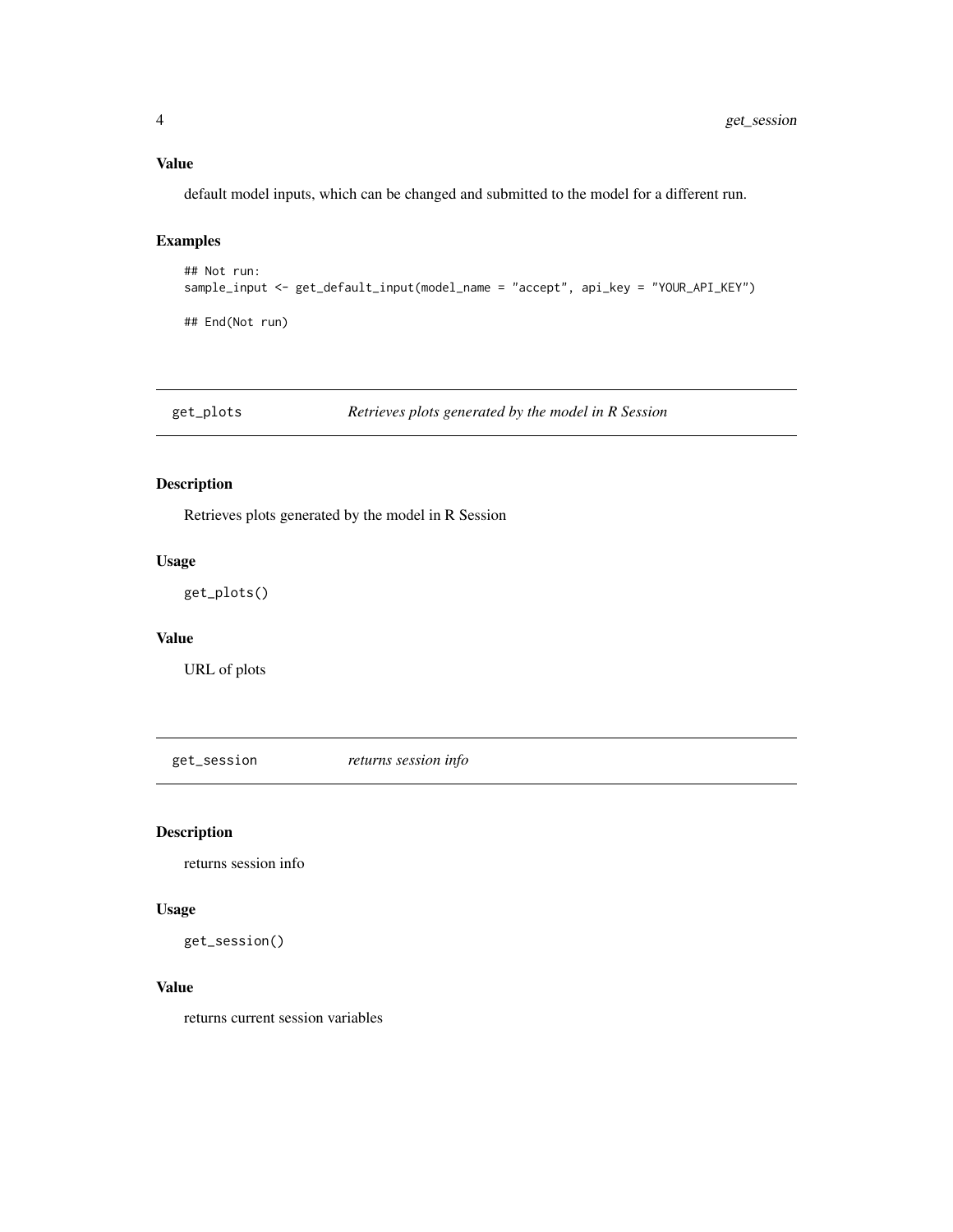## <span id="page-3-0"></span>Value

default model inputs, which can be changed and submitted to the model for a different run.

## Examples

```
## Not run:
sample_input <- get_default_input(model_name = "accept", api_key = "YOUR_API_KEY")
## End(Not run)
```
get\_plots *Retrieves plots generated by the model in R Session*

## Description

Retrieves plots generated by the model in R Session

#### Usage

get\_plots()

#### Value

URL of plots

get\_session *returns session info*

## Description

returns session info

#### Usage

get\_session()

#### Value

returns current session variables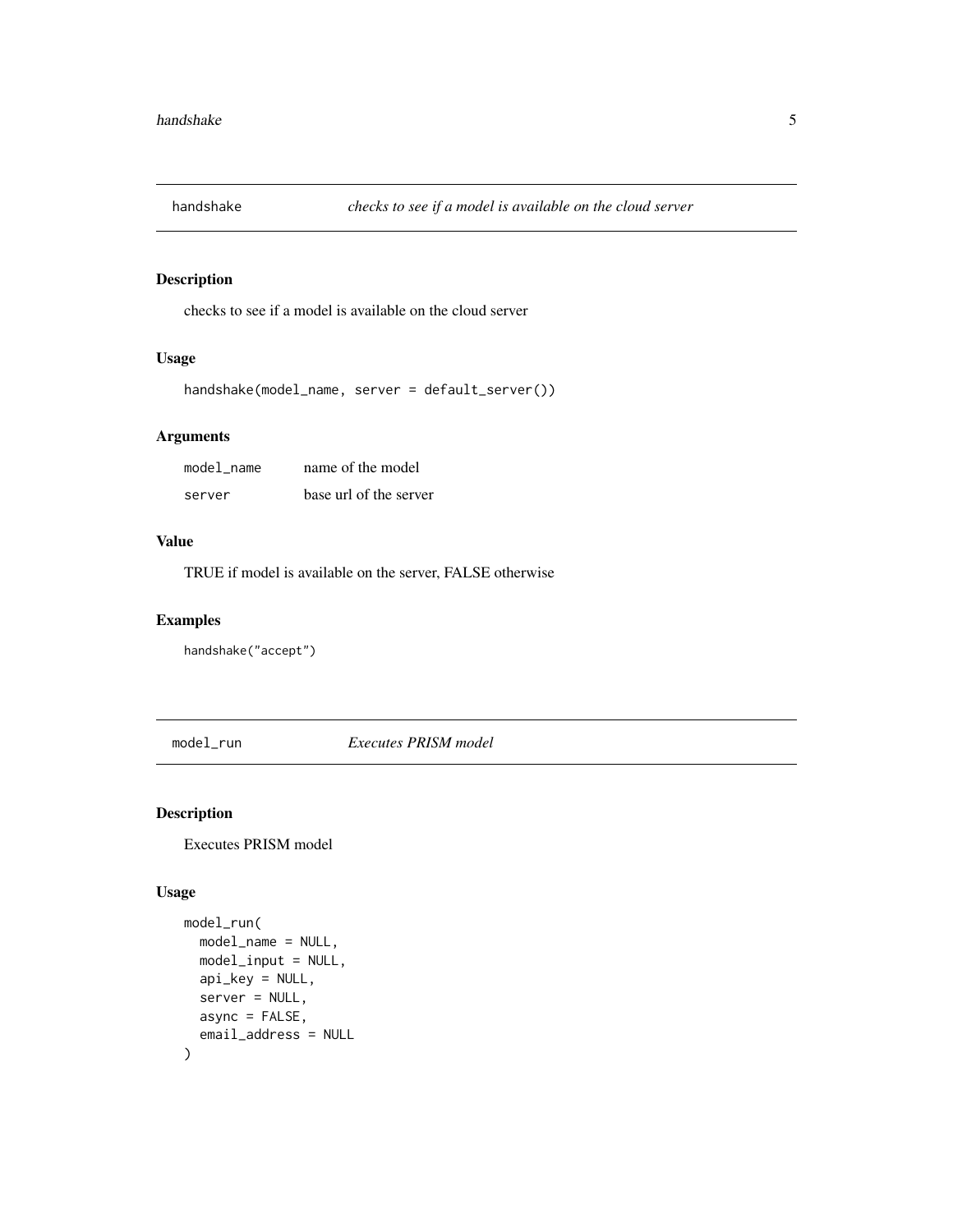<span id="page-4-0"></span>

## Description

checks to see if a model is available on the cloud server

## Usage

```
handshake(model_name, server = default_server())
```
## Arguments

| model name | name of the model      |
|------------|------------------------|
| server     | base url of the server |

#### Value

TRUE if model is available on the server, FALSE otherwise

## Examples

handshake("accept")

model\_run *Executes PRISM model*

## Description

Executes PRISM model

#### Usage

```
model_run(
  model_name = NULL,
  model_input = NULL,
  api_key = NULL,
  server = NULL,
  async = FALSE,
  email_address = NULL
\mathcal{L}
```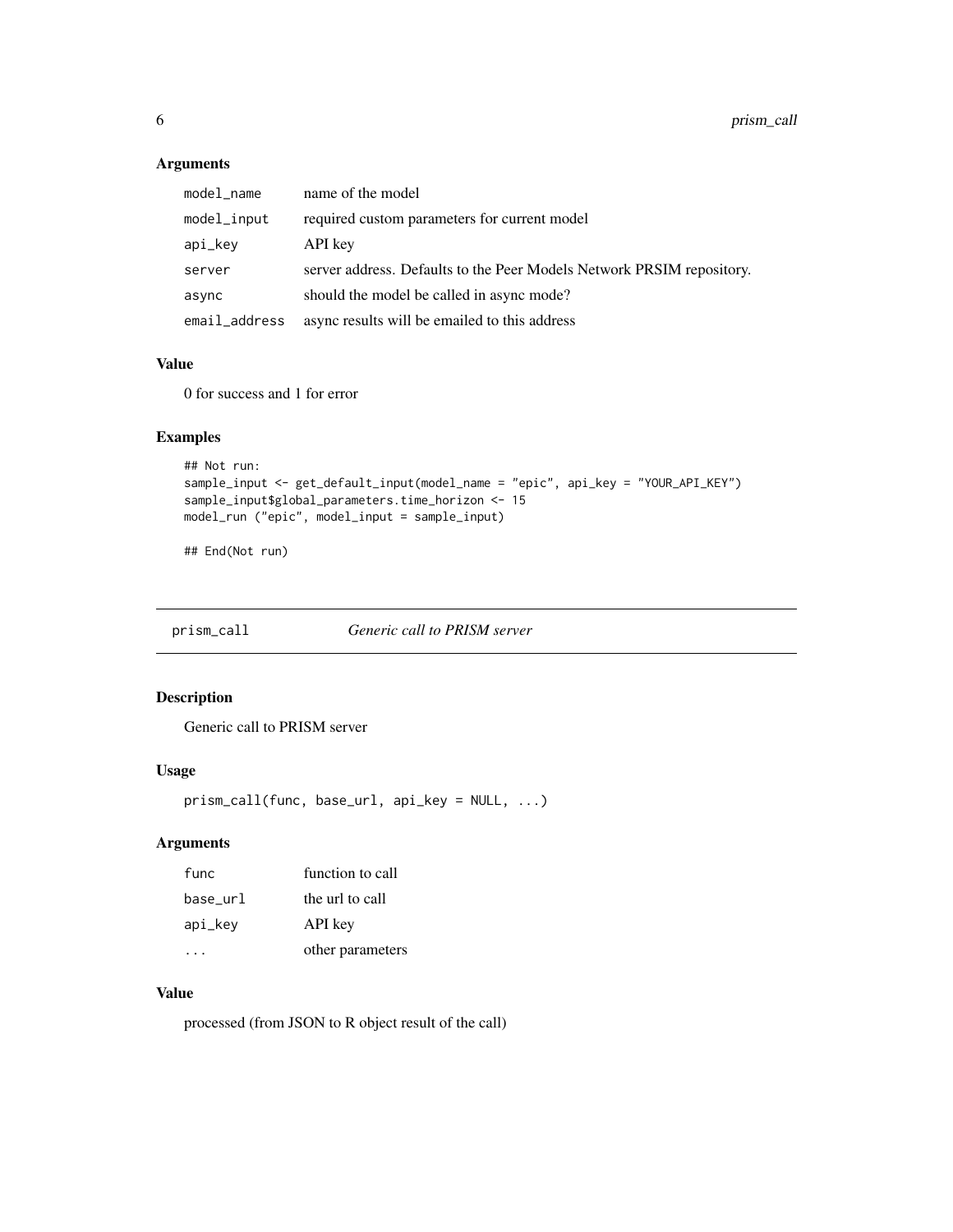## <span id="page-5-0"></span>Arguments

| model_name    | name of the model                                                     |
|---------------|-----------------------------------------------------------------------|
| model_input   | required custom parameters for current model                          |
| api_key       | API key                                                               |
| server        | server address. Defaults to the Peer Models Network PRSIM repository. |
| async         | should the model be called in async mode?                             |
| email_address | async results will be emailed to this address                         |

## Value

0 for success and 1 for error

## Examples

```
## Not run:
sample_input <- get_default_input(model_name = "epic", api_key = "YOUR_API_KEY")
sample_input$global_parameters.time_horizon <- 15
model_run ("epic", model_input = sample_input)
```
## End(Not run)

prism\_call *Generic call to PRISM server*

## Description

Generic call to PRISM server

## Usage

```
prism_call(func, base_url, api_key = NULL, ...)
```
## Arguments

| func     | function to call |
|----------|------------------|
| base_url | the url to call  |
| api_key  | API key          |
|          | other parameters |

## Value

processed (from JSON to R object result of the call)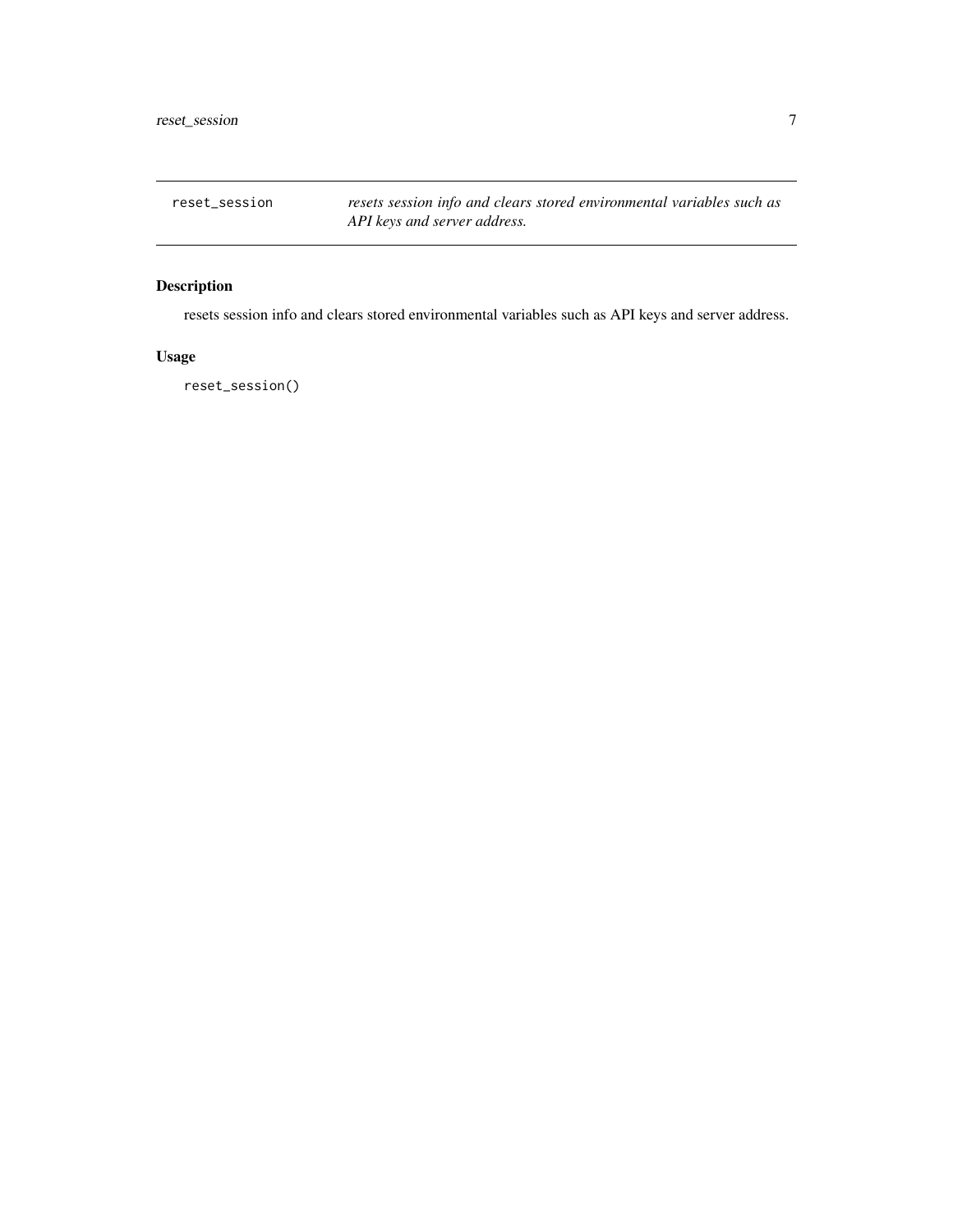<span id="page-6-0"></span>reset\_session *resets session info and clears stored environmental variables such as API keys and server address.*

## Description

resets session info and clears stored environmental variables such as API keys and server address.

## Usage

reset\_session()